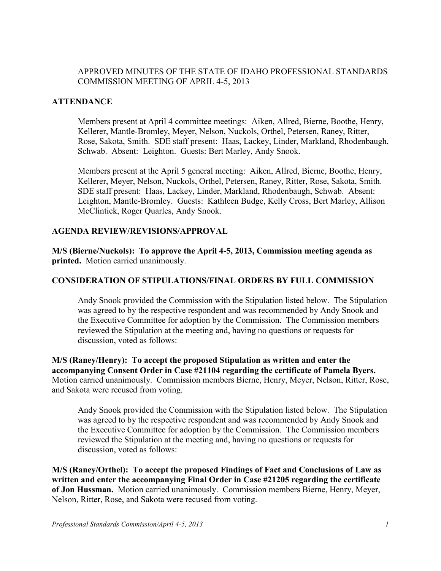### APPROVED MINUTES OF THE STATE OF IDAHO PROFESSIONAL STANDARDS COMMISSION MEETING OF APRIL 4-5, 2013

#### **ATTENDANCE**

Members present at April 4 committee meetings: Aiken, Allred, Bierne, Boothe, Henry, Kellerer, Mantle-Bromley, Meyer, Nelson, Nuckols, Orthel, Petersen, Raney, Ritter, Rose, Sakota, Smith. SDE staff present: Haas, Lackey, Linder, Markland, Rhodenbaugh, Schwab. Absent: Leighton. Guests: Bert Marley, Andy Snook.

Members present at the April 5 general meeting: Aiken, Allred, Bierne, Boothe, Henry, Kellerer, Meyer, Nelson, Nuckols, Orthel, Petersen, Raney, Ritter, Rose, Sakota, Smith. SDE staff present: Haas, Lackey, Linder, Markland, Rhodenbaugh, Schwab. Absent: Leighton, Mantle-Bromley. Guests: Kathleen Budge, Kelly Cross, Bert Marley, Allison McClintick, Roger Quarles, Andy Snook.

#### **AGENDA REVIEW/REVISIONS/APPROVAL**

**M/S (Bierne/Nuckols): To approve the April 4-5, 2013, Commission meeting agenda as printed.** Motion carried unanimously.

#### **CONSIDERATION OF STIPULATIONS/FINAL ORDERS BY FULL COMMISSION**

Andy Snook provided the Commission with the Stipulation listed below. The Stipulation was agreed to by the respective respondent and was recommended by Andy Snook and the Executive Committee for adoption by the Commission. The Commission members reviewed the Stipulation at the meeting and, having no questions or requests for discussion, voted as follows:

**M/S (Raney/Henry): To accept the proposed Stipulation as written and enter the accompanying Consent Order in Case #21104 regarding the certificate of Pamela Byers.**  Motion carried unanimously. Commission members Bierne, Henry, Meyer, Nelson, Ritter, Rose, and Sakota were recused from voting.

Andy Snook provided the Commission with the Stipulation listed below. The Stipulation was agreed to by the respective respondent and was recommended by Andy Snook and the Executive Committee for adoption by the Commission. The Commission members reviewed the Stipulation at the meeting and, having no questions or requests for discussion, voted as follows:

**M/S (Raney/Orthel): To accept the proposed Findings of Fact and Conclusions of Law as written and enter the accompanying Final Order in Case #21205 regarding the certificate of Jon Hussman.** Motion carried unanimously. Commission members Bierne, Henry, Meyer, Nelson, Ritter, Rose, and Sakota were recused from voting.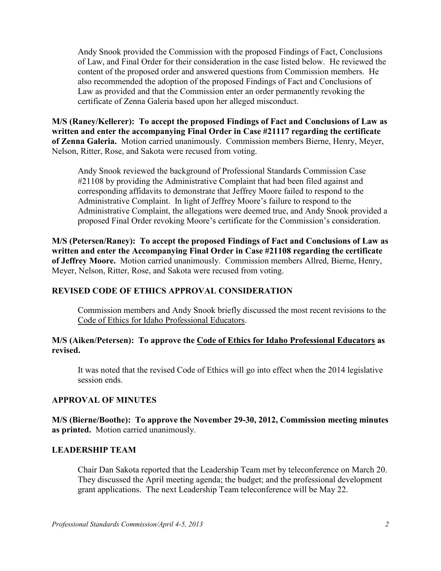Andy Snook provided the Commission with the proposed Findings of Fact, Conclusions of Law, and Final Order for their consideration in the case listed below. He reviewed the content of the proposed order and answered questions from Commission members. He also recommended the adoption of the proposed Findings of Fact and Conclusions of Law as provided and that the Commission enter an order permanently revoking the certificate of Zenna Galeria based upon her alleged misconduct.

**M/S (Raney/Kellerer): To accept the proposed Findings of Fact and Conclusions of Law as written and enter the accompanying Final Order in Case #21117 regarding the certificate of Zenna Galeria.** Motion carried unanimously. Commission members Bierne, Henry, Meyer, Nelson, Ritter, Rose, and Sakota were recused from voting.

Andy Snook reviewed the background of Professional Standards Commission Case #21108 by providing the Administrative Complaint that had been filed against and corresponding affidavits to demonstrate that Jeffrey Moore failed to respond to the Administrative Complaint. In light of Jeffrey Moore's failure to respond to the Administrative Complaint, the allegations were deemed true, and Andy Snook provided a proposed Final Order revoking Moore's certificate for the Commission's consideration.

**M/S (Petersen/Raney): To accept the proposed Findings of Fact and Conclusions of Law as written and enter the Accompanying Final Order in Case #21108 regarding the certificate of Jeffrey Moore.** Motion carried unanimously. Commission members Allred, Bierne, Henry, Meyer, Nelson, Ritter, Rose, and Sakota were recused from voting.

### **REVISED CODE OF ETHICS APPROVAL CONSIDERATION**

Commission members and Andy Snook briefly discussed the most recent revisions to the Code of Ethics for Idaho Professional Educators.

#### **M/S (Aiken/Petersen): To approve the Code of Ethics for Idaho Professional Educators as revised.**

It was noted that the revised Code of Ethics will go into effect when the 2014 legislative session ends.

#### **APPROVAL OF MINUTES**

**M/S (Bierne/Boothe): To approve the November 29-30, 2012, Commission meeting minutes as printed.** Motion carried unanimously.

#### **LEADERSHIP TEAM**

Chair Dan Sakota reported that the Leadership Team met by teleconference on March 20. They discussed the April meeting agenda; the budget; and the professional development grant applications. The next Leadership Team teleconference will be May 22.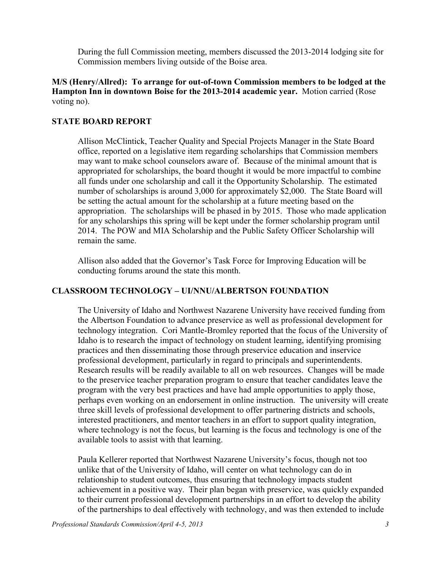During the full Commission meeting, members discussed the 2013-2014 lodging site for Commission members living outside of the Boise area.

### **M/S (Henry/Allred): To arrange for out-of-town Commission members to be lodged at the Hampton Inn in downtown Boise for the 2013-2014 academic year.** Motion carried (Rose voting no).

## **STATE BOARD REPORT**

Allison McClintick, Teacher Quality and Special Projects Manager in the State Board office, reported on a legislative item regarding scholarships that Commission members may want to make school counselors aware of. Because of the minimal amount that is appropriated for scholarships, the board thought it would be more impactful to combine all funds under one scholarship and call it the Opportunity Scholarship. The estimated number of scholarships is around 3,000 for approximately \$2,000. The State Board will be setting the actual amount for the scholarship at a future meeting based on the appropriation. The scholarships will be phased in by 2015. Those who made application for any scholarships this spring will be kept under the former scholarship program until 2014. The POW and MIA Scholarship and the Public Safety Officer Scholarship will remain the same.

Allison also added that the Governor's Task Force for Improving Education will be conducting forums around the state this month.

## **CLASSROOM TECHNOLOGY – UI/NNU/ALBERTSON FOUNDATION**

The University of Idaho and Northwest Nazarene University have received funding from the Albertson Foundation to advance preservice as well as professional development for technology integration. Cori Mantle-Bromley reported that the focus of the University of Idaho is to research the impact of technology on student learning, identifying promising practices and then disseminating those through preservice education and inservice professional development, particularly in regard to principals and superintendents. Research results will be readily available to all on web resources. Changes will be made to the preservice teacher preparation program to ensure that teacher candidates leave the program with the very best practices and have had ample opportunities to apply those, perhaps even working on an endorsement in online instruction. The university will create three skill levels of professional development to offer partnering districts and schools, interested practitioners, and mentor teachers in an effort to support quality integration, where technology is not the focus, but learning is the focus and technology is one of the available tools to assist with that learning.

Paula Kellerer reported that Northwest Nazarene University's focus, though not too unlike that of the University of Idaho, will center on what technology can do in relationship to student outcomes, thus ensuring that technology impacts student achievement in a positive way. Their plan began with preservice, was quickly expanded to their current professional development partnerships in an effort to develop the ability of the partnerships to deal effectively with technology, and was then extended to include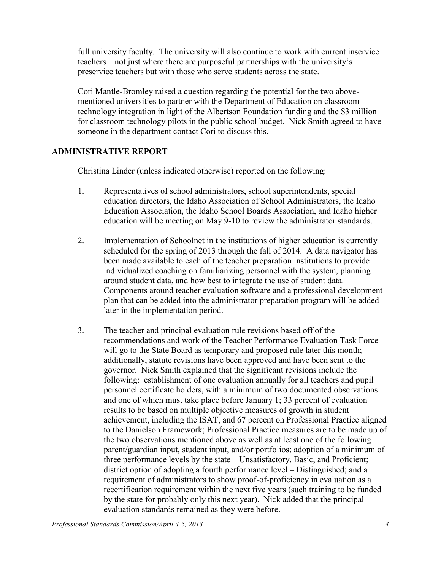full university faculty. The university will also continue to work with current inservice teachers – not just where there are purposeful partnerships with the university's preservice teachers but with those who serve students across the state.

Cori Mantle-Bromley raised a question regarding the potential for the two abovementioned universities to partner with the Department of Education on classroom technology integration in light of the Albertson Foundation funding and the \$3 million for classroom technology pilots in the public school budget. Nick Smith agreed to have someone in the department contact Cori to discuss this.

## **ADMINISTRATIVE REPORT**

Christina Linder (unless indicated otherwise) reported on the following:

- 1. Representatives of school administrators, school superintendents, special education directors, the Idaho Association of School Administrators, the Idaho Education Association, the Idaho School Boards Association, and Idaho higher education will be meeting on May 9-10 to review the administrator standards.
- 2. Implementation of Schoolnet in the institutions of higher education is currently scheduled for the spring of 2013 through the fall of 2014. A data navigator has been made available to each of the teacher preparation institutions to provide individualized coaching on familiarizing personnel with the system, planning around student data, and how best to integrate the use of student data. Components around teacher evaluation software and a professional development plan that can be added into the administrator preparation program will be added later in the implementation period.
- 3. The teacher and principal evaluation rule revisions based off of the recommendations and work of the Teacher Performance Evaluation Task Force will go to the State Board as temporary and proposed rule later this month; additionally, statute revisions have been approved and have been sent to the governor. Nick Smith explained that the significant revisions include the following: establishment of one evaluation annually for all teachers and pupil personnel certificate holders, with a minimum of two documented observations and one of which must take place before January 1; 33 percent of evaluation results to be based on multiple objective measures of growth in student achievement, including the ISAT, and 67 percent on Professional Practice aligned to the Danielson Framework; Professional Practice measures are to be made up of the two observations mentioned above as well as at least one of the following – parent/guardian input, student input, and/or portfolios; adoption of a minimum of three performance levels by the state – Unsatisfactory, Basic, and Proficient; district option of adopting a fourth performance level – Distinguished; and a requirement of administrators to show proof-of-proficiency in evaluation as a recertification requirement within the next five years (such training to be funded by the state for probably only this next year). Nick added that the principal evaluation standards remained as they were before.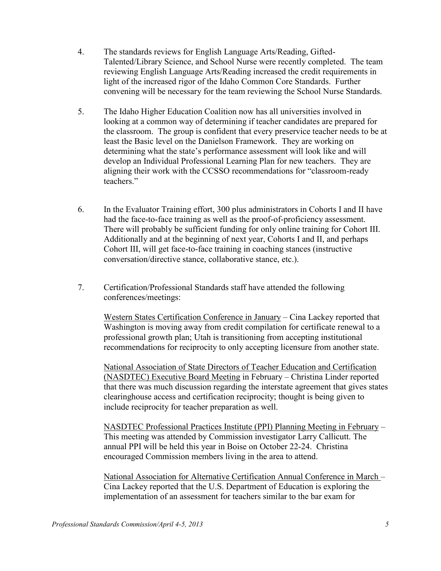- 4. The standards reviews for English Language Arts/Reading, Gifted-Talented/Library Science, and School Nurse were recently completed. The team reviewing English Language Arts/Reading increased the credit requirements in light of the increased rigor of the Idaho Common Core Standards. Further convening will be necessary for the team reviewing the School Nurse Standards.
- 5. The Idaho Higher Education Coalition now has all universities involved in looking at a common way of determining if teacher candidates are prepared for the classroom. The group is confident that every preservice teacher needs to be at least the Basic level on the Danielson Framework. They are working on determining what the state's performance assessment will look like and will develop an Individual Professional Learning Plan for new teachers. They are aligning their work with the CCSSO recommendations for "classroom-ready teachers."
- 6. In the Evaluator Training effort, 300 plus administrators in Cohorts I and II have had the face-to-face training as well as the proof-of-proficiency assessment. There will probably be sufficient funding for only online training for Cohort III. Additionally and at the beginning of next year, Cohorts I and II, and perhaps Cohort III, will get face-to-face training in coaching stances (instructive conversation/directive stance, collaborative stance, etc.).
- 7. Certification/Professional Standards staff have attended the following conferences/meetings:

Western States Certification Conference in January – Cina Lackey reported that Washington is moving away from credit compilation for certificate renewal to a professional growth plan; Utah is transitioning from accepting institutional recommendations for reciprocity to only accepting licensure from another state.

National Association of State Directors of Teacher Education and Certification (NASDTEC) Executive Board Meeting in February – Christina Linder reported that there was much discussion regarding the interstate agreement that gives states clearinghouse access and certification reciprocity; thought is being given to include reciprocity for teacher preparation as well.

NASDTEC Professional Practices Institute (PPI) Planning Meeting in February – This meeting was attended by Commission investigator Larry Callicutt. The annual PPI will be held this year in Boise on October 22-24. Christina encouraged Commission members living in the area to attend.

National Association for Alternative Certification Annual Conference in March – Cina Lackey reported that the U.S. Department of Education is exploring the implementation of an assessment for teachers similar to the bar exam for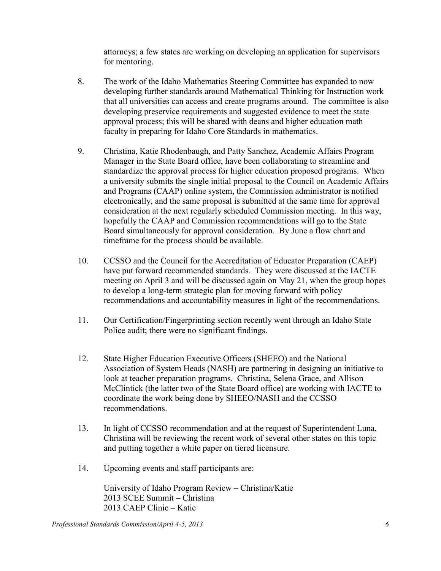attorneys; a few states are working on developing an application for supervisors for mentoring.

- 8. The work of the Idaho Mathematics Steering Committee has expanded to now developing further standards around Mathematical Thinking for Instruction work that all universities can access and create programs around. The committee is also developing preservice requirements and suggested evidence to meet the state approval process; this will be shared with deans and higher education math faculty in preparing for Idaho Core Standards in mathematics.
- 9. Christina, Katie Rhodenbaugh, and Patty Sanchez, Academic Affairs Program Manager in the State Board office, have been collaborating to streamline and standardize the approval process for higher education proposed programs. When a university submits the single initial proposal to the Council on Academic Affairs and Programs (CAAP) online system, the Commission administrator is notified electronically, and the same proposal is submitted at the same time for approval consideration at the next regularly scheduled Commission meeting. In this way, hopefully the CAAP and Commission recommendations will go to the State Board simultaneously for approval consideration. By June a flow chart and timeframe for the process should be available.
- 10. CCSSO and the Council for the Accreditation of Educator Preparation (CAEP) have put forward recommended standards. They were discussed at the IACTE meeting on April 3 and will be discussed again on May 21, when the group hopes to develop a long-term strategic plan for moving forward with policy recommendations and accountability measures in light of the recommendations.
- 11. Our Certification/Fingerprinting section recently went through an Idaho State Police audit; there were no significant findings.
- 12. State Higher Education Executive Officers (SHEEO) and the National Association of System Heads (NASH) are partnering in designing an initiative to look at teacher preparation programs. Christina, Selena Grace, and Allison McClintick (the latter two of the State Board office) are working with IACTE to coordinate the work being done by SHEEO/NASH and the CCSSO recommendations.
- 13. In light of CCSSO recommendation and at the request of Superintendent Luna, Christina will be reviewing the recent work of several other states on this topic and putting together a white paper on tiered licensure.
- 14. Upcoming events and staff participants are:

University of Idaho Program Review – Christina/Katie 2013 SCEE Summit – Christina 2013 CAEP Clinic – Katie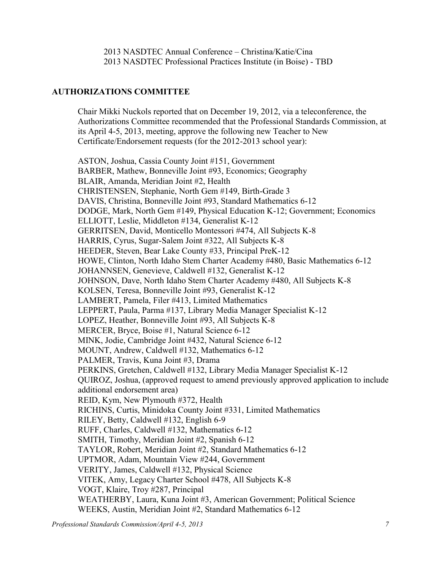2013 NASDTEC Annual Conference – Christina/Katie/Cina 2013 NASDTEC Professional Practices Institute (in Boise) - TBD

## **AUTHORIZATIONS COMMITTEE**

Chair Mikki Nuckols reported that on December 19, 2012, via a teleconference, the Authorizations Committee recommended that the Professional Standards Commission, at its April 4-5, 2013, meeting, approve the following new Teacher to New Certificate/Endorsement requests (for the 2012-2013 school year):

ASTON, Joshua, Cassia County Joint #151, Government BARBER, Mathew, Bonneville Joint #93, Economics; Geography BLAIR, Amanda, Meridian Joint #2, Health CHRISTENSEN, Stephanie, North Gem #149, Birth-Grade 3 DAVIS, Christina, Bonneville Joint #93, Standard Mathematics 6-12 DODGE, Mark, North Gem #149, Physical Education K-12; Government; Economics ELLIOTT, Leslie, Middleton #134, Generalist K-12 GERRITSEN, David, Monticello Montessori #474, All Subjects K-8 HARRIS, Cyrus, Sugar-Salem Joint #322, All Subjects K-8 HEEDER, Steven, Bear Lake County #33, Principal PreK-12 HOWE, Clinton, North Idaho Stem Charter Academy #480, Basic Mathematics 6-12 JOHANNSEN, Genevieve, Caldwell #132, Generalist K-12 JOHNSON, Dave, North Idaho Stem Charter Academy #480, All Subjects K-8 KOLSEN, Teresa, Bonneville Joint #93, Generalist K-12 LAMBERT, Pamela, Filer #413, Limited Mathematics LEPPERT, Paula, Parma #137, Library Media Manager Specialist K-12 LOPEZ, Heather, Bonneville Joint #93, All Subjects K-8 MERCER, Bryce, Boise #1, Natural Science 6-12 MINK, Jodie, Cambridge Joint #432, Natural Science 6-12 MOUNT, Andrew, Caldwell #132, Mathematics 6-12 PALMER, Travis, Kuna Joint #3, Drama PERKINS, Gretchen, Caldwell #132, Library Media Manager Specialist K-12 QUIROZ, Joshua, (approved request to amend previously approved application to include additional endorsement area) REID, Kym, New Plymouth #372, Health RICHINS, Curtis, Minidoka County Joint #331, Limited Mathematics RILEY, Betty, Caldwell #132, English 6-9 RUFF, Charles, Caldwell #132, Mathematics 6-12 SMITH, Timothy, Meridian Joint #2, Spanish 6-12 TAYLOR, Robert, Meridian Joint #2, Standard Mathematics 6-12 UPTMOR, Adam, Mountain View #244, Government VERITY, James, Caldwell #132, Physical Science VITEK, Amy, Legacy Charter School #478, All Subjects K-8 VOGT, Klaire, Troy #287, Principal WEATHERBY, Laura, Kuna Joint #3, American Government; Political Science WEEKS, Austin, Meridian Joint #2, Standard Mathematics 6-12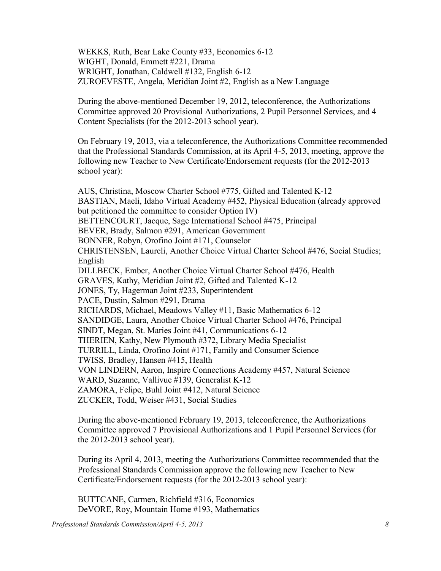WEKKS, Ruth, Bear Lake County #33, Economics 6-12 WIGHT, Donald, Emmett #221, Drama WRIGHT, Jonathan, Caldwell #132, English 6-12 ZUROEVESTE, Angela, Meridian Joint #2, English as a New Language

During the above-mentioned December 19, 2012, teleconference, the Authorizations Committee approved 20 Provisional Authorizations, 2 Pupil Personnel Services, and 4 Content Specialists (for the 2012-2013 school year).

On February 19, 2013, via a teleconference, the Authorizations Committee recommended that the Professional Standards Commission, at its April 4-5, 2013, meeting, approve the following new Teacher to New Certificate/Endorsement requests (for the 2012-2013 school year):

AUS, Christina, Moscow Charter School #775, Gifted and Talented K-12 BASTIAN, Maeli, Idaho Virtual Academy #452, Physical Education (already approved but petitioned the committee to consider Option IV) BETTENCOURT, Jacque, Sage International School #475, Principal BEVER, Brady, Salmon #291, American Government BONNER, Robyn, Orofino Joint #171, Counselor CHRISTENSEN, Laureli, Another Choice Virtual Charter School #476, Social Studies; English DILLBECK, Ember, Another Choice Virtual Charter School #476, Health GRAVES, Kathy, Meridian Joint #2, Gifted and Talented K-12 JONES, Ty, Hagerman Joint #233, Superintendent PACE, Dustin, Salmon #291, Drama RICHARDS, Michael, Meadows Valley #11, Basic Mathematics 6-12 SANDIDGE, Laura, Another Choice Virtual Charter School #476, Principal SINDT, Megan, St. Maries Joint #41, Communications 6-12 THERIEN, Kathy, New Plymouth #372, Library Media Specialist TURRILL, Linda, Orofino Joint #171, Family and Consumer Science TWISS, Bradley, Hansen #415, Health VON LINDERN, Aaron, Inspire Connections Academy #457, Natural Science WARD, Suzanne, Vallivue #139, Generalist K-12 ZAMORA, Felipe, Buhl Joint #412, Natural Science ZUCKER, Todd, Weiser #431, Social Studies

During the above-mentioned February 19, 2013, teleconference, the Authorizations Committee approved 7 Provisional Authorizations and 1 Pupil Personnel Services (for the 2012-2013 school year).

During its April 4, 2013, meeting the Authorizations Committee recommended that the Professional Standards Commission approve the following new Teacher to New Certificate/Endorsement requests (for the 2012-2013 school year):

BUTTCANE, Carmen, Richfield #316, Economics DeVORE, Roy, Mountain Home #193, Mathematics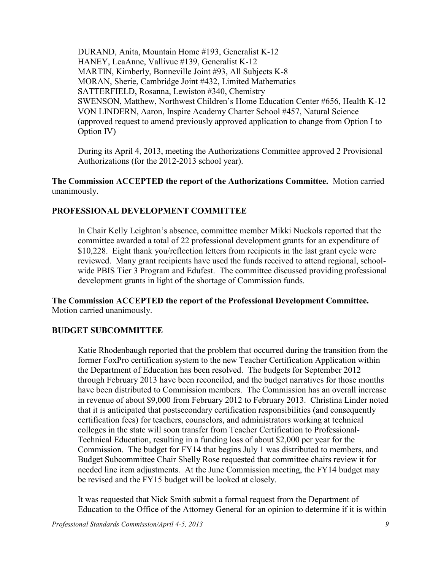DURAND, Anita, Mountain Home #193, Generalist K-12 HANEY, LeaAnne, Vallivue #139, Generalist K-12 MARTIN, Kimberly, Bonneville Joint #93, All Subjects K-8 MORAN, Sherie, Cambridge Joint #432, Limited Mathematics SATTERFIELD, Rosanna, Lewiston #340, Chemistry SWENSON, Matthew, Northwest Children's Home Education Center #656, Health K-12 VON LINDERN, Aaron, Inspire Academy Charter School #457, Natural Science (approved request to amend previously approved application to change from Option I to Option IV)

During its April 4, 2013, meeting the Authorizations Committee approved 2 Provisional Authorizations (for the 2012-2013 school year).

**The Commission ACCEPTED the report of the Authorizations Committee.** Motion carried unanimously.

#### **PROFESSIONAL DEVELOPMENT COMMITTEE**

In Chair Kelly Leighton's absence, committee member Mikki Nuckols reported that the committee awarded a total of 22 professional development grants for an expenditure of \$10,228. Eight thank you/reflection letters from recipients in the last grant cycle were reviewed. Many grant recipients have used the funds received to attend regional, schoolwide PBIS Tier 3 Program and Edufest. The committee discussed providing professional development grants in light of the shortage of Commission funds.

**The Commission ACCEPTED the report of the Professional Development Committee.**  Motion carried unanimously.

#### **BUDGET SUBCOMMITTEE**

Katie Rhodenbaugh reported that the problem that occurred during the transition from the former FoxPro certification system to the new Teacher Certification Application within the Department of Education has been resolved. The budgets for September 2012 through February 2013 have been reconciled, and the budget narratives for those months have been distributed to Commission members. The Commission has an overall increase in revenue of about \$9,000 from February 2012 to February 2013. Christina Linder noted that it is anticipated that postsecondary certification responsibilities (and consequently certification fees) for teachers, counselors, and administrators working at technical colleges in the state will soon transfer from Teacher Certification to Professional-Technical Education, resulting in a funding loss of about \$2,000 per year for the Commission. The budget for FY14 that begins July 1 was distributed to members, and Budget Subcommittee Chair Shelly Rose requested that committee chairs review it for needed line item adjustments. At the June Commission meeting, the FY14 budget may be revised and the FY15 budget will be looked at closely.

It was requested that Nick Smith submit a formal request from the Department of Education to the Office of the Attorney General for an opinion to determine if it is within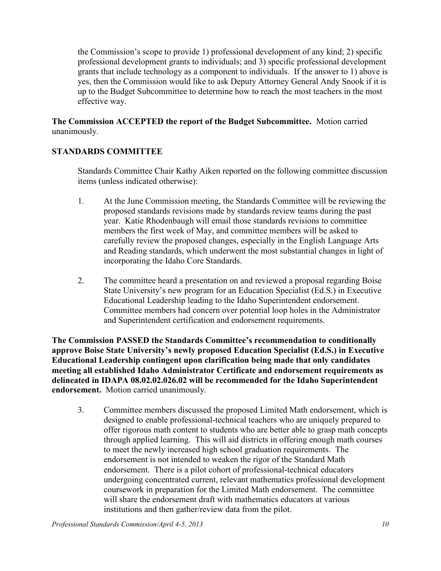the Commission's scope to provide 1) professional development of any kind; 2) specific professional development grants to individuals; and 3) specific professional development grants that include technology as a component to individuals. If the answer to 1) above is yes, then the Commission would like to ask Deputy Attorney General Andy Snook if it is up to the Budget Subcommittee to determine how to reach the most teachers in the most effective way.

**The Commission ACCEPTED the report of the Budget Subcommittee.** Motion carried unanimously.

## **STANDARDS COMMITTEE**

Standards Committee Chair Kathy Aiken reported on the following committee discussion items (unless indicated otherwise):

- 1. At the June Commission meeting, the Standards Committee will be reviewing the proposed standards revisions made by standards review teams during the past year. Katie Rhodenbaugh will email those standards revisions to committee members the first week of May, and committee members will be asked to carefully review the proposed changes, especially in the English Language Arts and Reading standards, which underwent the most substantial changes in light of incorporating the Idaho Core Standards.
- 2. The committee heard a presentation on and reviewed a proposal regarding Boise State University's new program for an Education Specialist (Ed.S.) in Executive Educational Leadership leading to the Idaho Superintendent endorsement. Committee members had concern over potential loop holes in the Administrator and Superintendent certification and endorsement requirements.

**The Commission PASSED the Standards Committee's recommendation to conditionally approve Boise State University's newly proposed Education Specialist (Ed.S.) in Executive Educational Leadership contingent upon clarification being made that only candidates meeting all established Idaho Administrator Certificate and endorsement requirements as delineated in IDAPA 08.02.02.026.02 will be recommended for the Idaho Superintendent endorsement.** Motion carried unanimously.

3. Committee members discussed the proposed Limited Math endorsement, which is designed to enable professional-technical teachers who are uniquely prepared to offer rigorous math content to students who are better able to grasp math concepts through applied learning. This will aid districts in offering enough math courses to meet the newly increased high school graduation requirements. The endorsement is not intended to weaken the rigor of the Standard Math endorsement. There is a pilot cohort of professional-technical educators undergoing concentrated current, relevant mathematics professional development coursework in preparation for the Limited Math endorsement. The committee will share the endorsement draft with mathematics educators at various institutions and then gather/review data from the pilot.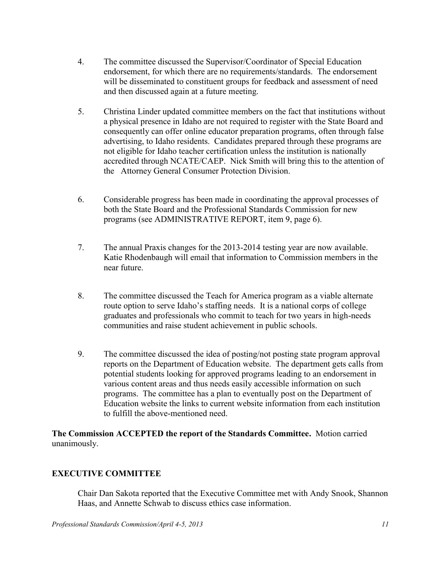- 4. The committee discussed the Supervisor/Coordinator of Special Education endorsement, for which there are no requirements/standards. The endorsement will be disseminated to constituent groups for feedback and assessment of need and then discussed again at a future meeting.
- 5. Christina Linder updated committee members on the fact that institutions without a physical presence in Idaho are not required to register with the State Board and consequently can offer online educator preparation programs, often through false advertising, to Idaho residents. Candidates prepared through these programs are not eligible for Idaho teacher certification unless the institution is nationally accredited through NCATE/CAEP. Nick Smith will bring this to the attention of the Attorney General Consumer Protection Division.
- 6. Considerable progress has been made in coordinating the approval processes of both the State Board and the Professional Standards Commission for new programs (see ADMINISTRATIVE REPORT, item 9, page 6).
- 7. The annual Praxis changes for the 2013-2014 testing year are now available. Katie Rhodenbaugh will email that information to Commission members in the near future.
- 8. The committee discussed the Teach for America program as a viable alternate route option to serve Idaho's staffing needs. It is a national corps of college graduates and professionals who commit to teach for two years in high-needs communities and raise student achievement in public schools.
- 9. The committee discussed the idea of posting/not posting state program approval reports on the Department of Education website. The department gets calls from potential students looking for approved programs leading to an endorsement in various content areas and thus needs easily accessible information on such programs. The committee has a plan to eventually post on the Department of Education website the links to current website information from each institution to fulfill the above-mentioned need.

**The Commission ACCEPTED the report of the Standards Committee.** Motion carried unanimously.

# **EXECUTIVE COMMITTEE**

Chair Dan Sakota reported that the Executive Committee met with Andy Snook, Shannon Haas, and Annette Schwab to discuss ethics case information.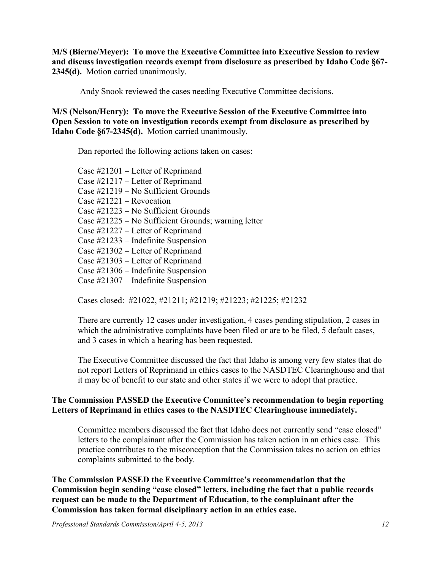**M/S (Bierne/Meyer): To move the Executive Committee into Executive Session to review and discuss investigation records exempt from disclosure as prescribed by Idaho Code §67- 2345(d).** Motion carried unanimously.

Andy Snook reviewed the cases needing Executive Committee decisions.

**M/S (Nelson/Henry): To move the Executive Session of the Executive Committee into Open Session to vote on investigation records exempt from disclosure as prescribed by Idaho Code §67-2345(d).** Motion carried unanimously.

Dan reported the following actions taken on cases:

Case #21201 – Letter of Reprimand Case #21217 – Letter of Reprimand Case #21219 – No Sufficient Grounds Case #21221 – Revocation Case #21223 – No Sufficient Grounds Case #21225 – No Sufficient Grounds; warning letter Case #21227 – Letter of Reprimand Case #21233 – Indefinite Suspension Case #21302 – Letter of Reprimand Case #21303 – Letter of Reprimand Case #21306 – Indefinite Suspension Case #21307 – Indefinite Suspension

Cases closed: #21022, #21211; #21219; #21223; #21225; #21232

There are currently 12 cases under investigation, 4 cases pending stipulation, 2 cases in which the administrative complaints have been filed or are to be filed, 5 default cases, and 3 cases in which a hearing has been requested.

The Executive Committee discussed the fact that Idaho is among very few states that do not report Letters of Reprimand in ethics cases to the NASDTEC Clearinghouse and that it may be of benefit to our state and other states if we were to adopt that practice.

### **The Commission PASSED the Executive Committee's recommendation to begin reporting Letters of Reprimand in ethics cases to the NASDTEC Clearinghouse immediately.**

Committee members discussed the fact that Idaho does not currently send "case closed" letters to the complainant after the Commission has taken action in an ethics case. This practice contributes to the misconception that the Commission takes no action on ethics complaints submitted to the body.

**The Commission PASSED the Executive Committee's recommendation that the Commission begin sending "case closed" letters, including the fact that a public records request can be made to the Department of Education, to the complainant after the Commission has taken formal disciplinary action in an ethics case.**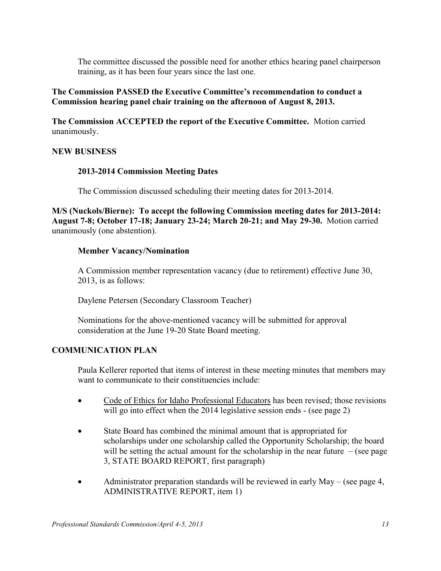The committee discussed the possible need for another ethics hearing panel chairperson training, as it has been four years since the last one.

### **The Commission PASSED the Executive Committee's recommendation to conduct a Commission hearing panel chair training on the afternoon of August 8, 2013.**

**The Commission ACCEPTED the report of the Executive Committee.** Motion carried unanimously.

### **NEW BUSINESS**

### **2013-2014 Commission Meeting Dates**

The Commission discussed scheduling their meeting dates for 2013-2014.

**M/S (Nuckols/Bierne): To accept the following Commission meeting dates for 2013-2014: August 7-8; October 17-18; January 23-24; March 20-21; and May 29-30.** Motion carried unanimously (one abstention).

## **Member Vacancy/Nomination**

A Commission member representation vacancy (due to retirement) effective June 30, 2013, is as follows:

Daylene Petersen (Secondary Classroom Teacher)

Nominations for the above-mentioned vacancy will be submitted for approval consideration at the June 19-20 State Board meeting.

# **COMMUNICATION PLAN**

Paula Kellerer reported that items of interest in these meeting minutes that members may want to communicate to their constituencies include:

- Code of Ethics for Idaho Professional Educators has been revised; those revisions will go into effect when the 2014 legislative session ends - (see page 2)
- State Board has combined the minimal amount that is appropriated for scholarships under one scholarship called the Opportunity Scholarship; the board will be setting the actual amount for the scholarship in the near future  $-$  (see page 3, STATE BOARD REPORT, first paragraph)
- Administrator preparation standards will be reviewed in early May (see page 4, ADMINISTRATIVE REPORT, item 1)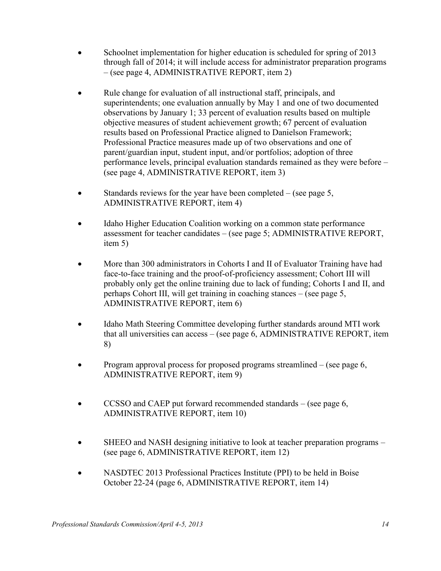- Schoolnet implementation for higher education is scheduled for spring of 2013 through fall of 2014; it will include access for administrator preparation programs – (see page 4, ADMINISTRATIVE REPORT, item 2)
- Rule change for evaluation of all instructional staff, principals, and superintendents; one evaluation annually by May 1 and one of two documented observations by January 1; 33 percent of evaluation results based on multiple objective measures of student achievement growth; 67 percent of evaluation results based on Professional Practice aligned to Danielson Framework; Professional Practice measures made up of two observations and one of parent/guardian input, student input, and/or portfolios; adoption of three performance levels, principal evaluation standards remained as they were before – (see page 4, ADMINISTRATIVE REPORT, item 3)
- Standards reviews for the year have been completed (see page 5, ADMINISTRATIVE REPORT, item 4)
- Idaho Higher Education Coalition working on a common state performance assessment for teacher candidates – (see page 5; ADMINISTRATIVE REPORT, item 5)
- More than 300 administrators in Cohorts I and II of Evaluator Training have had face-to-face training and the proof-of-proficiency assessment; Cohort III will probably only get the online training due to lack of funding; Cohorts I and II, and perhaps Cohort III, will get training in coaching stances – (see page 5, ADMINISTRATIVE REPORT, item 6)
- Idaho Math Steering Committee developing further standards around MTI work that all universities can access – (see page 6, ADMINISTRATIVE REPORT, item 8)
- Program approval process for proposed programs streamlined (see page 6, ADMINISTRATIVE REPORT, item 9)
- CCSSO and CAEP put forward recommended standards (see page 6, ADMINISTRATIVE REPORT, item 10)
- SHEEO and NASH designing initiative to look at teacher preparation programs (see page 6, ADMINISTRATIVE REPORT, item 12)
- NASDTEC 2013 Professional Practices Institute (PPI) to be held in Boise October 22-24 (page 6, ADMINISTRATIVE REPORT, item 14)